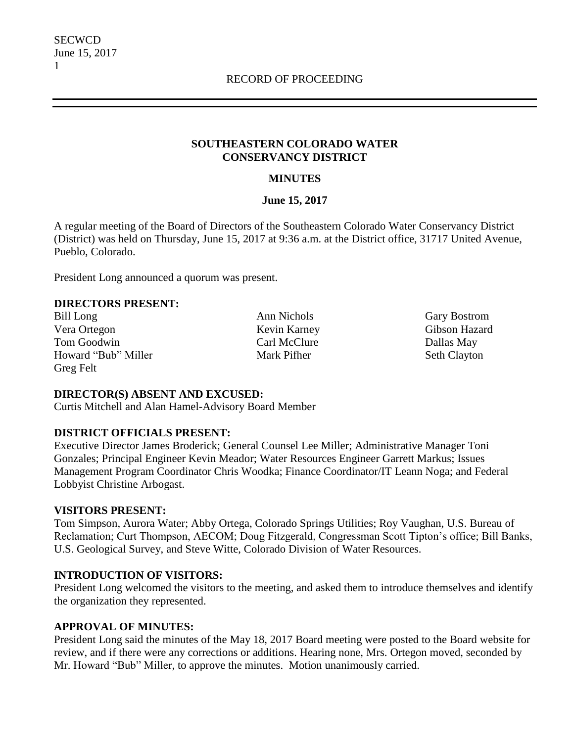#### **SOUTHEASTERN COLORADO WATER CONSERVANCY DISTRICT**

#### **MINUTES**

#### **June 15, 2017**

A regular meeting of the Board of Directors of the Southeastern Colorado Water Conservancy District (District) was held on Thursday, June 15, 2017 at 9:36 a.m. at the District office, 31717 United Avenue, Pueblo, Colorado.

President Long announced a quorum was present.

#### **DIRECTORS PRESENT:**

Bill Long **Ann Nichols** Gary Bostrom Vera Ortegon Kevin Karney Gibson Hazard Tom Goodwin Carl McClure Carl McClure Dallas May Howard "Bub" Miller Mark Pifher Seth Clayton Greg Felt

#### **DIRECTOR(S) ABSENT AND EXCUSED:**

Curtis Mitchell and Alan Hamel-Advisory Board Member

### **DISTRICT OFFICIALS PRESENT:**

Executive Director James Broderick; General Counsel Lee Miller; Administrative Manager Toni Gonzales; Principal Engineer Kevin Meador; Water Resources Engineer Garrett Markus; Issues Management Program Coordinator Chris Woodka; Finance Coordinator/IT Leann Noga; and Federal Lobbyist Christine Arbogast.

#### **VISITORS PRESENT:**

Tom Simpson, Aurora Water; Abby Ortega, Colorado Springs Utilities; Roy Vaughan, U.S. Bureau of Reclamation; Curt Thompson, AECOM; Doug Fitzgerald, Congressman Scott Tipton's office; Bill Banks, U.S. Geological Survey, and Steve Witte, Colorado Division of Water Resources.

#### **INTRODUCTION OF VISITORS:**

President Long welcomed the visitors to the meeting, and asked them to introduce themselves and identify the organization they represented.

### **APPROVAL OF MINUTES:**

President Long said the minutes of the May 18, 2017 Board meeting were posted to the Board website for review, and if there were any corrections or additions. Hearing none, Mrs. Ortegon moved, seconded by Mr. Howard "Bub" Miller, to approve the minutes. Motion unanimously carried.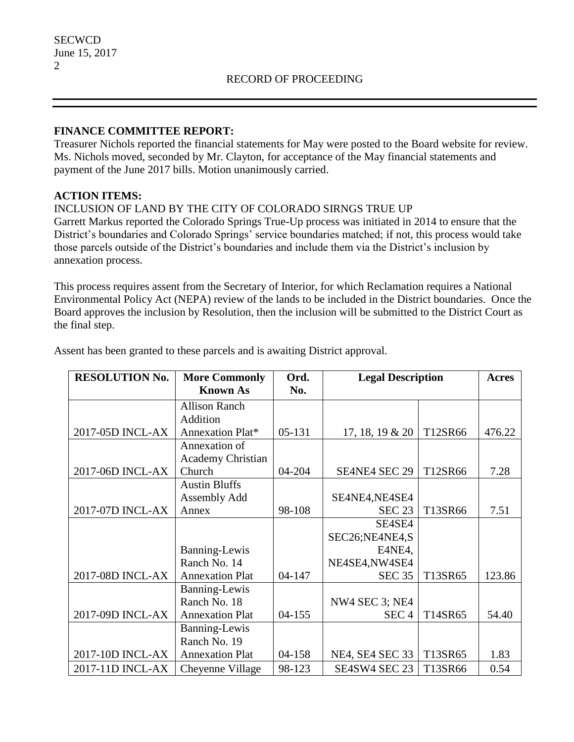#### **FINANCE COMMITTEE REPORT:**

Treasurer Nichols reported the financial statements for May were posted to the Board website for review. Ms. Nichols moved, seconded by Mr. Clayton, for acceptance of the May financial statements and payment of the June 2017 bills. Motion unanimously carried.

### **ACTION ITEMS:**

#### INCLUSION OF LAND BY THE CITY OF COLORADO SIRNGS TRUE UP

Garrett Markus reported the Colorado Springs True-Up process was initiated in 2014 to ensure that the District's boundaries and Colorado Springs' service boundaries matched; if not, this process would take those parcels outside of the District's boundaries and include them via the District's inclusion by annexation process.

This process requires assent from the Secretary of Interior, for which Reclamation requires a National Environmental Policy Act (NEPA) review of the lands to be included in the District boundaries. Once the Board approves the inclusion by Resolution, then the inclusion will be submitted to the District Court as the final step.

| <b>RESOLUTION No.</b> | <b>More Commonly</b><br><b>Known As</b> | Ord.<br>No. | <b>Legal Description</b> |         | <b>Acres</b> |
|-----------------------|-----------------------------------------|-------------|--------------------------|---------|--------------|
|                       | <b>Allison Ranch</b>                    |             |                          |         |              |
|                       | Addition                                |             |                          |         |              |
| 2017-05D INCL-AX      | Annexation Plat*                        | 05-131      | $17, 18, 19 \& 20$       | T12SR66 | 476.22       |
|                       | Annexation of                           |             |                          |         |              |
|                       | <b>Academy Christian</b>                |             |                          |         |              |
| 2017-06D INCL-AX      | Church                                  | 04-204      | <b>SE4NE4 SEC 29</b>     | T12SR66 | 7.28         |
|                       | <b>Austin Bluffs</b>                    |             |                          |         |              |
|                       | Assembly Add                            |             | SE4NE4, NE4SE4           |         |              |
| 2017-07D INCL-AX      | Annex                                   | 98-108      | <b>SEC 23</b>            | T13SR66 | 7.51         |
|                       |                                         |             | SE4SE4                   |         |              |
|                       |                                         |             | SEC26;NE4NE4,S           |         |              |
|                       | Banning-Lewis                           |             | E4NE4,                   |         |              |
|                       | Ranch No. 14                            |             | NE4SE4, NW4SE4           |         |              |
| 2017-08D INCL-AX      | <b>Annexation Plat</b>                  | 04-147      | <b>SEC 35</b>            | T13SR65 | 123.86       |
|                       | Banning-Lewis                           |             |                          |         |              |
|                       | Ranch No. 18                            |             | NW4 SEC 3; NE4           |         |              |
| 2017-09D INCL-AX      | <b>Annexation Plat</b>                  | $04 - 155$  | SEC <sub>4</sub>         | T14SR65 | 54.40        |
|                       | <b>Banning-Lewis</b>                    |             |                          |         |              |
|                       | Ranch No. 19                            |             |                          |         |              |
| 2017-10D INCL-AX      | <b>Annexation Plat</b>                  | 04-158      | NE4, SE4 SEC 33          | T13SR65 | 1.83         |
| 2017-11D INCL-AX      | Cheyenne Village                        | 98-123      | SE4SW4 SEC 23            | T13SR66 | 0.54         |

Assent has been granted to these parcels and is awaiting District approval.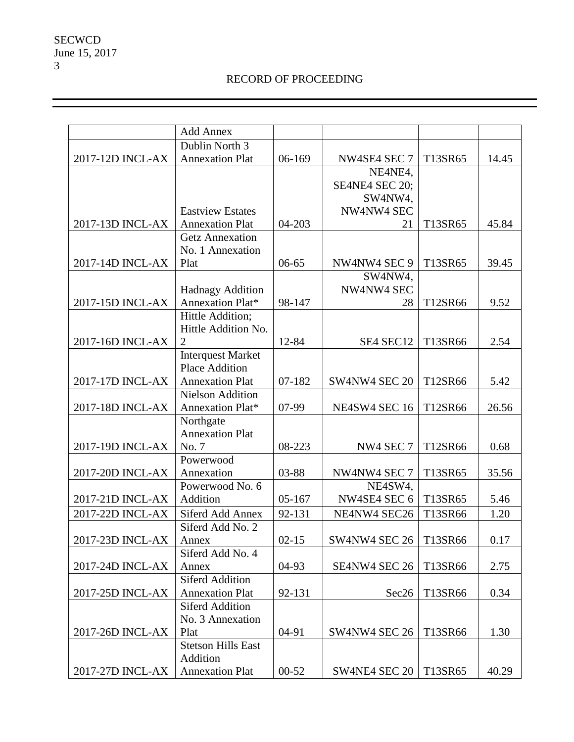# RECORD OF PROCEEDING

|                  | <b>Add Annex</b>                  |           |                |         |       |
|------------------|-----------------------------------|-----------|----------------|---------|-------|
|                  | Dublin North 3                    |           |                |         |       |
| 2017-12D INCL-AX | <b>Annexation Plat</b>            | 06-169    | NW4SE4 SEC 7   | T13SR65 | 14.45 |
|                  |                                   |           | NE4NE4,        |         |       |
|                  |                                   |           | SE4NE4 SEC 20; |         |       |
|                  |                                   |           | SW4NW4,        |         |       |
|                  | <b>Eastview Estates</b>           |           | NW4NW4 SEC     |         |       |
| 2017-13D INCL-AX | <b>Annexation Plat</b>            | 04-203    | 21             | T13SR65 | 45.84 |
|                  | <b>Getz Annexation</b>            |           |                |         |       |
|                  | No. 1 Annexation                  |           |                |         |       |
| 2017-14D INCL-AX | Plat                              | $06 - 65$ | NW4NW4 SEC 9   | T13SR65 | 39.45 |
|                  |                                   |           | SW4NW4,        |         |       |
|                  | <b>Hadnagy Addition</b>           |           | NW4NW4 SEC     |         |       |
| 2017-15D INCL-AX | Annexation Plat*                  | 98-147    | 28             | T12SR66 | 9.52  |
|                  | Hittle Addition;                  |           |                |         |       |
|                  | Hittle Addition No.               |           |                |         |       |
| 2017-16D INCL-AX | $\overline{2}$                    | 12-84     | SE4 SEC12      | T13SR66 | 2.54  |
|                  | <b>Interquest Market</b>          |           |                |         |       |
|                  | <b>Place Addition</b>             |           |                |         |       |
| 2017-17D INCL-AX | <b>Annexation Plat</b>            | 07-182    | SW4NW4 SEC 20  | T12SR66 | 5.42  |
|                  | <b>Nielson Addition</b>           |           |                |         |       |
| 2017-18D INCL-AX | Annexation Plat*                  | 07-99     | NE4SW4 SEC 16  | T12SR66 | 26.56 |
|                  | Northgate                         |           |                |         |       |
|                  | <b>Annexation Plat</b>            |           |                |         |       |
| 2017-19D INCL-AX | No. 7                             | 08-223    | NW4 SEC 7      | T12SR66 | 0.68  |
|                  | Powerwood                         |           |                |         |       |
| 2017-20D INCL-AX | Annexation                        | 03-88     | NW4NW4 SEC 7   | T13SR65 | 35.56 |
|                  | Powerwood No. 6                   |           | NE4SW4,        |         |       |
| 2017-21D INCL-AX | Addition                          | 05-167    | NW4SE4 SEC 6   | T13SR65 | 5.46  |
| 2017-22D INCL-AX | Siferd Add Annex                  | 92-131    | NE4NW4 SEC26   | T13SR66 | 1.20  |
|                  | Siferd Add No. 2                  |           |                |         |       |
| 2017-23D INCL-AX | Annex                             | $02 - 15$ | SW4NW4 SEC 26  | T13SR66 | 0.17  |
|                  | Siferd Add No. 4                  |           |                |         |       |
| 2017-24D INCL-AX | Annex                             | 04-93     | SE4NW4 SEC 26  | T13SR66 | 2.75  |
|                  | <b>Siferd Addition</b>            |           |                |         |       |
| 2017-25D INCL-AX | <b>Annexation Plat</b>            | 92-131    | Sec26          | T13SR66 | 0.34  |
|                  | <b>Siferd Addition</b>            |           |                |         |       |
| 2017-26D INCL-AX | No. 3 Annexation                  | 04-91     | SW4NW4 SEC 26  | T13SR66 | 1.30  |
|                  | Plat<br><b>Stetson Hills East</b> |           |                |         |       |
|                  | Addition                          |           |                |         |       |
| 2017-27D INCL-AX | <b>Annexation Plat</b>            | $00 - 52$ | SW4NE4 SEC 20  | T13SR65 | 40.29 |
|                  |                                   |           |                |         |       |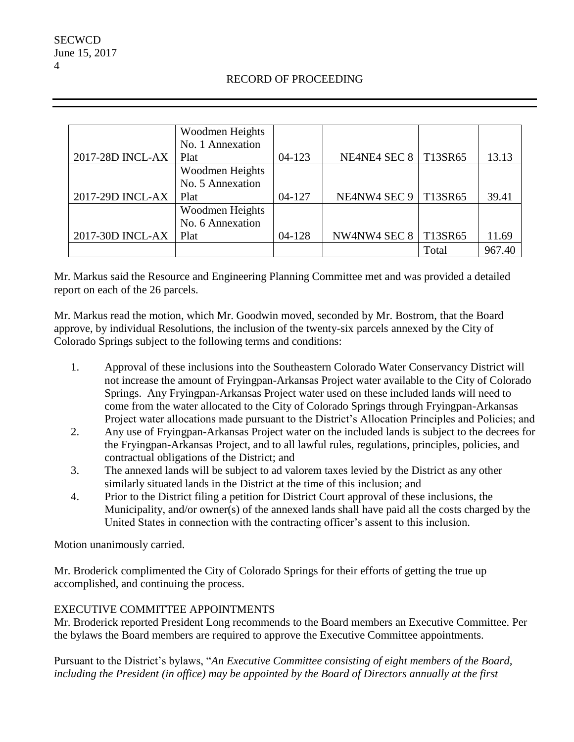### RECORD OF PROCEEDING

|                  | Woodmen Heights  |            |                               |         |        |
|------------------|------------------|------------|-------------------------------|---------|--------|
|                  | No. 1 Annexation |            |                               |         |        |
| 2017-28D INCL-AX | Plat             | $04 - 123$ | NE4NE4 SEC 8                  | T13SR65 | 13.13  |
|                  | Woodmen Heights  |            |                               |         |        |
|                  | No. 5 Annexation |            |                               |         |        |
| 2017-29D INCL-AX | Plat             | $04 - 127$ | <b>NE4NW4 SEC 9   T13SR65</b> |         | 39.41  |
|                  | Woodmen Heights  |            |                               |         |        |
|                  | No. 6 Annexation |            |                               |         |        |
| 2017-30D INCL-AX | Plat             | 04-128     | NW4NW4 SEC 8                  | T13SR65 | 11.69  |
|                  |                  |            |                               | Total   | 967.40 |

Mr. Markus said the Resource and Engineering Planning Committee met and was provided a detailed report on each of the 26 parcels.

Mr. Markus read the motion, which Mr. Goodwin moved, seconded by Mr. Bostrom, that the Board approve, by individual Resolutions, the inclusion of the twenty-six parcels annexed by the City of Colorado Springs subject to the following terms and conditions:

- 1. Approval of these inclusions into the Southeastern Colorado Water Conservancy District will not increase the amount of Fryingpan-Arkansas Project water available to the City of Colorado Springs. Any Fryingpan-Arkansas Project water used on these included lands will need to come from the water allocated to the City of Colorado Springs through Fryingpan-Arkansas Project water allocations made pursuant to the District's Allocation Principles and Policies; and
- 2. Any use of Fryingpan-Arkansas Project water on the included lands is subject to the decrees for the Fryingpan-Arkansas Project, and to all lawful rules, regulations, principles, policies, and contractual obligations of the District; and
- 3. The annexed lands will be subject to ad valorem taxes levied by the District as any other similarly situated lands in the District at the time of this inclusion; and
- 4. Prior to the District filing a petition for District Court approval of these inclusions, the Municipality, and/or owner(s) of the annexed lands shall have paid all the costs charged by the United States in connection with the contracting officer's assent to this inclusion.

Motion unanimously carried.

Mr. Broderick complimented the City of Colorado Springs for their efforts of getting the true up accomplished, and continuing the process.

# EXECUTIVE COMMITTEE APPOINTMENTS

Mr. Broderick reported President Long recommends to the Board members an Executive Committee. Per the bylaws the Board members are required to approve the Executive Committee appointments.

Pursuant to the District's bylaws, "*An Executive Committee consisting of eight members of the Board, including the President (in office) may be appointed by the Board of Directors annually at the first*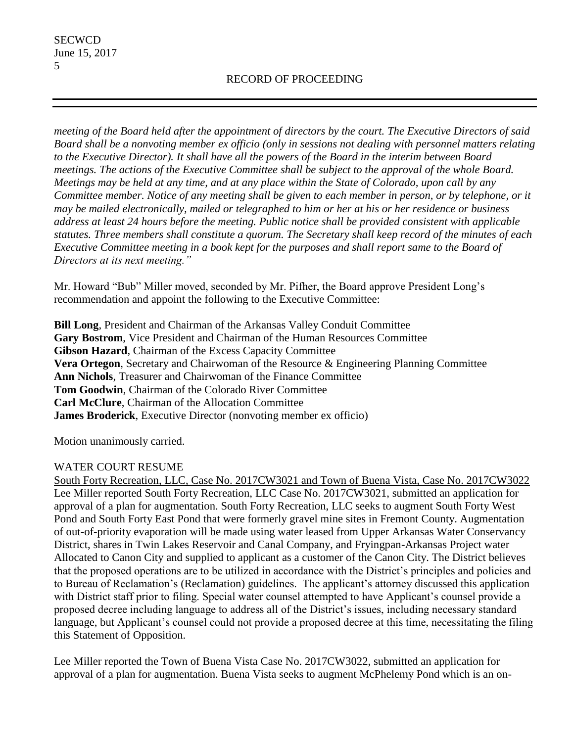*meeting of the Board held after the appointment of directors by the court. The Executive Directors of said Board shall be a nonvoting member ex officio (only in sessions not dealing with personnel matters relating to the Executive Director). It shall have all the powers of the Board in the interim between Board meetings. The actions of the Executive Committee shall be subject to the approval of the whole Board. Meetings may be held at any time, and at any place within the State of Colorado, upon call by any Committee member. Notice of any meeting shall be given to each member in person, or by telephone, or it may be mailed electronically, mailed or telegraphed to him or her at his or her residence or business address at least 24 hours before the meeting. Public notice shall be provided consistent with applicable statutes. Three members shall constitute a quorum. The Secretary shall keep record of the minutes of each Executive Committee meeting in a book kept for the purposes and shall report same to the Board of Directors at its next meeting."*

Mr. Howard "Bub" Miller moved, seconded by Mr. Pifher, the Board approve President Long's recommendation and appoint the following to the Executive Committee:

**Bill Long**, President and Chairman of the Arkansas Valley Conduit Committee **Gary Bostrom**, Vice President and Chairman of the Human Resources Committee **Gibson Hazard**, Chairman of the Excess Capacity Committee **Vera Ortegon**, Secretary and Chairwoman of the Resource & Engineering Planning Committee **Ann Nichols**, Treasurer and Chairwoman of the Finance Committee **Tom Goodwin**, Chairman of the Colorado River Committee **Carl McClure**, Chairman of the Allocation Committee **James Broderick**, Executive Director (nonvoting member ex officio)

Motion unanimously carried.

# WATER COURT RESUME

South Forty Recreation, LLC, Case No. 2017CW3021 and Town of Buena Vista, Case No. 2017CW3022 Lee Miller reported South Forty Recreation, LLC Case No. 2017CW3021, submitted an application for approval of a plan for augmentation. South Forty Recreation, LLC seeks to augment South Forty West Pond and South Forty East Pond that were formerly gravel mine sites in Fremont County. Augmentation of out-of-priority evaporation will be made using water leased from Upper Arkansas Water Conservancy District, shares in Twin Lakes Reservoir and Canal Company, and Fryingpan-Arkansas Project water Allocated to Canon City and supplied to applicant as a customer of the Canon City. The District believes that the proposed operations are to be utilized in accordance with the District's principles and policies and to Bureau of Reclamation's (Reclamation) guidelines. The applicant's attorney discussed this application with District staff prior to filing. Special water counsel attempted to have Applicant's counsel provide a proposed decree including language to address all of the District's issues, including necessary standard language, but Applicant's counsel could not provide a proposed decree at this time, necessitating the filing this Statement of Opposition.

Lee Miller reported the Town of Buena Vista Case No. 2017CW3022, submitted an application for approval of a plan for augmentation. Buena Vista seeks to augment McPhelemy Pond which is an on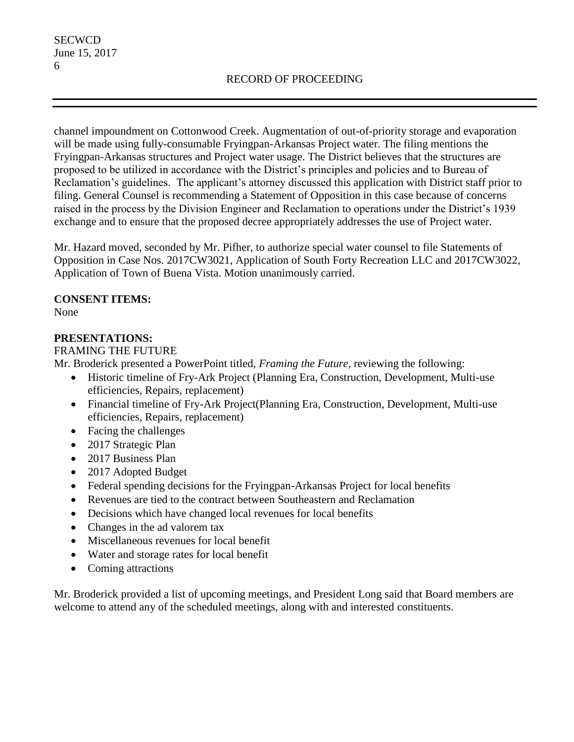channel impoundment on Cottonwood Creek. Augmentation of out-of-priority storage and evaporation will be made using fully-consumable Fryingpan-Arkansas Project water. The filing mentions the Fryingpan-Arkansas structures and Project water usage. The District believes that the structures are proposed to be utilized in accordance with the District's principles and policies and to Bureau of Reclamation's guidelines. The applicant's attorney discussed this application with District staff prior to filing. General Counsel is recommending a Statement of Opposition in this case because of concerns raised in the process by the Division Engineer and Reclamation to operations under the District's 1939 exchange and to ensure that the proposed decree appropriately addresses the use of Project water.

Mr. Hazard moved, seconded by Mr. Pifher, to authorize special water counsel to file Statements of Opposition in Case Nos. 2017CW3021, Application of South Forty Recreation LLC and 2017CW3022, Application of Town of Buena Vista. Motion unanimously carried.

### **CONSENT ITEMS:**

None

### **PRESENTATIONS:**

### FRAMING THE FUTURE

Mr. Broderick presented a PowerPoint titled, *Framing the Future,* reviewing the following:

- Historic timeline of Fry-Ark Project (Planning Era, Construction, Development, Multi-use efficiencies, Repairs, replacement)
- Financial timeline of Fry-Ark Project(Planning Era, Construction, Development, Multi-use efficiencies, Repairs, replacement)
- Facing the challenges
- 2017 Strategic Plan
- 2017 Business Plan
- 2017 Adopted Budget
- Federal spending decisions for the Fryingpan-Arkansas Project for local benefits
- Revenues are tied to the contract between Southeastern and Reclamation
- Decisions which have changed local revenues for local benefits
- Changes in the ad valorem tax
- Miscellaneous revenues for local benefit
- Water and storage rates for local benefit
- Coming attractions

Mr. Broderick provided a list of upcoming meetings, and President Long said that Board members are welcome to attend any of the scheduled meetings, along with and interested constituents.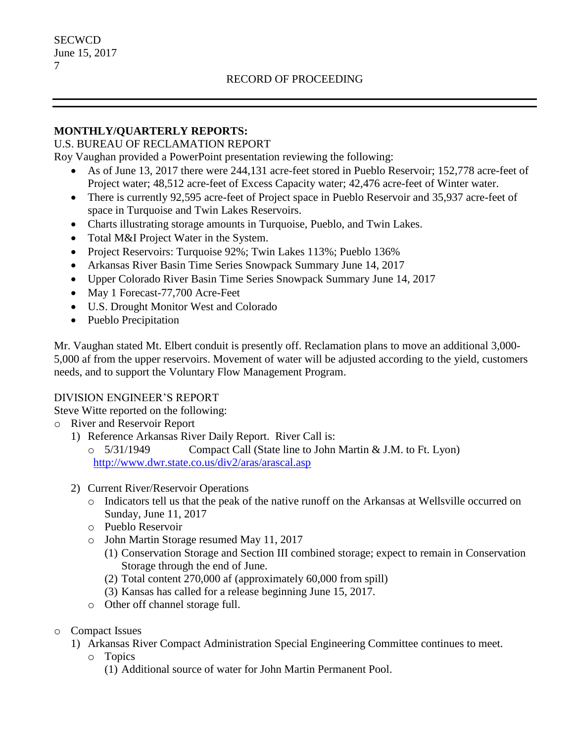#### **MONTHLY/QUARTERLY REPORTS:**

#### U.S. BUREAU OF RECLAMATION REPORT

Roy Vaughan provided a PowerPoint presentation reviewing the following:

- As of June 13, 2017 there were 244,131 acre-feet stored in Pueblo Reservoir; 152,778 acre-feet of Project water; 48,512 acre-feet of Excess Capacity water; 42,476 acre-feet of Winter water.
- There is currently 92,595 acre-feet of Project space in Pueblo Reservoir and 35,937 acre-feet of space in Turquoise and Twin Lakes Reservoirs.
- Charts illustrating storage amounts in Turquoise, Pueblo, and Twin Lakes.
- Total M&I Project Water in the System.
- Project Reservoirs: Turquoise 92%; Twin Lakes 113%; Pueblo 136%
- Arkansas River Basin Time Series Snowpack Summary June 14, 2017
- Upper Colorado River Basin Time Series Snowpack Summary June 14, 2017
- May 1 Forecast-77,700 Acre-Feet
- U.S. Drought Monitor West and Colorado
- Pueblo Precipitation

Mr. Vaughan stated Mt. Elbert conduit is presently off. Reclamation plans to move an additional 3,000- 5,000 af from the upper reservoirs. Movement of water will be adjusted according to the yield, customers needs, and to support the Voluntary Flow Management Program.

### DIVISION ENGINEER'S REPORT

Steve Witte reported on the following:

- o River and Reservoir Report
	- 1) Reference Arkansas River Daily Report. River Call is:
		- o 5/31/1949 Compact Call (State line to John Martin & J.M. to Ft. Lyon) <http://www.dwr.state.co.us/div2/aras/arascal.asp>
	- 2) Current River/Reservoir Operations
		- o Indicators tell us that the peak of the native runoff on the Arkansas at Wellsville occurred on Sunday, June 11, 2017
		- o Pueblo Reservoir
		- o John Martin Storage resumed May 11, 2017
			- (1) Conservation Storage and Section III combined storage; expect to remain in Conservation Storage through the end of June.
			- (2) Total content 270,000 af (approximately 60,000 from spill)
			- (3) Kansas has called for a release beginning June 15, 2017.
		- o Other off channel storage full.
- o Compact Issues
	- 1) Arkansas River Compact Administration Special Engineering Committee continues to meet.
		- o Topics
			- (1) Additional source of water for John Martin Permanent Pool.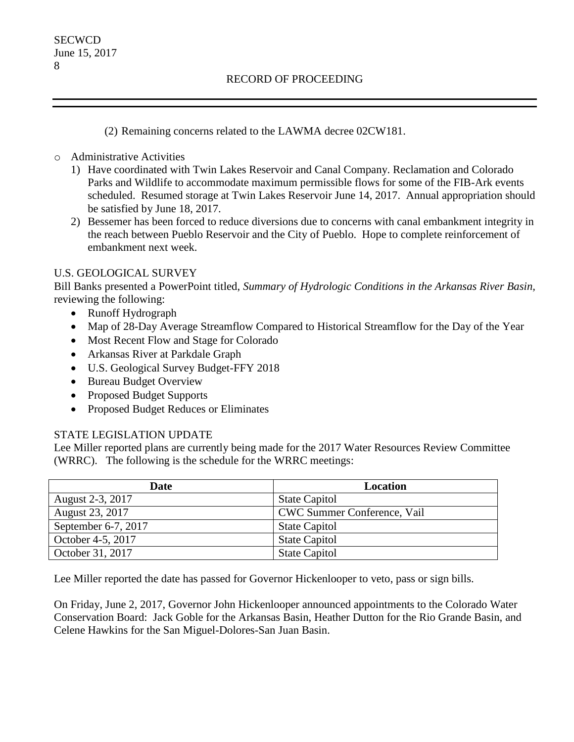(2) Remaining concerns related to the LAWMA decree 02CW181.

- o Administrative Activities
	- 1) Have coordinated with Twin Lakes Reservoir and Canal Company. Reclamation and Colorado Parks and Wildlife to accommodate maximum permissible flows for some of the FIB-Ark events scheduled. Resumed storage at Twin Lakes Reservoir June 14, 2017. Annual appropriation should be satisfied by June 18, 2017.
	- 2) Bessemer has been forced to reduce diversions due to concerns with canal embankment integrity in the reach between Pueblo Reservoir and the City of Pueblo. Hope to complete reinforcement of embankment next week.

### U.S. GEOLOGICAL SURVEY

Bill Banks presented a PowerPoint titled, *Summary of Hydrologic Conditions in the Arkansas River Basin,*  reviewing the following:

- Runoff Hydrograph
- Map of 28-Day Average Streamflow Compared to Historical Streamflow for the Day of the Year
- Most Recent Flow and Stage for Colorado
- Arkansas River at Parkdale Graph
- U.S. Geological Survey Budget-FFY 2018
- Bureau Budget Overview
- Proposed Budget Supports
- Proposed Budget Reduces or Eliminates

### STATE LEGISLATION UPDATE

Lee Miller reported plans are currently being made for the 2017 Water Resources Review Committee (WRRC). The following is the schedule for the WRRC meetings:

| <b>Date</b>         | <b>Location</b>             |
|---------------------|-----------------------------|
| August 2-3, 2017    | <b>State Capitol</b>        |
| August 23, 2017     | CWC Summer Conference, Vail |
| September 6-7, 2017 | <b>State Capitol</b>        |
| October 4-5, 2017   | <b>State Capitol</b>        |
| October 31, 2017    | <b>State Capitol</b>        |

Lee Miller reported the date has passed for Governor Hickenlooper to veto, pass or sign bills.

On Friday, June 2, 2017, Governor John Hickenlooper announced appointments to the Colorado Water Conservation Board: Jack Goble for the Arkansas Basin, Heather Dutton for the Rio Grande Basin, and Celene Hawkins for the San Miguel-Dolores-San Juan Basin.